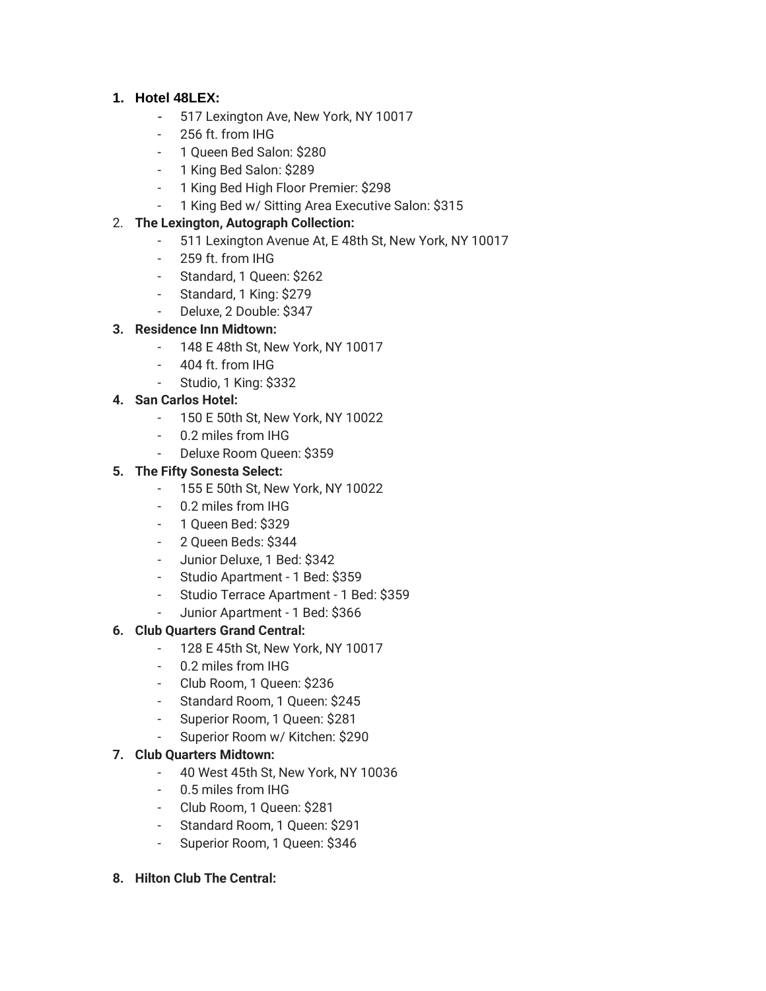# **1. Hotel 48LEX:**

- 517 Lexington Ave, New York, NY 10017
- 256 ft. from IHG
- 1 Queen Bed Salon: \$280
- 1 King Bed Salon: \$289
- 1 King Bed High Floor Premier: \$298
- 1 King Bed w/ Sitting Area Executive Salon: \$315

# 2. **The Lexington, Autograph Collection:**

- 511 Lexington Avenue At, E 48th St, New York, NY 10017
- 259 ft. from IHG
- Standard, 1 Queen: \$262
- Standard, 1 King: \$279
- Deluxe, 2 Double: \$347

# **3. Residence Inn Midtown:**

- 148 E 48th St, New York, NY 10017
- 404 ft. from IHG
- Studio, 1 King: \$332

# **4. San Carlos Hotel:**

- 150 E 50th St, New York, NY 10022
- 0.2 miles from IHG
- Deluxe Room Queen: \$359

# **5. The Fifty Sonesta Select:**

- 155 E 50th St, New York, NY 10022
- 0.2 miles from IHG
- 1 Queen Bed: \$329
- 2 Queen Beds: \$344
- Junior Deluxe, 1 Bed: \$342
- Studio Apartment 1 Bed: \$359
- Studio Terrace Apartment 1 Bed: \$359
- Junior Apartment 1 Bed: \$366

# **6. Club Quarters Grand Central:**

- 128 E 45th St, New York, NY 10017
- 0.2 miles from IHG
- Club Room, 1 Queen: \$236
- Standard Room, 1 Queen: \$245
- Superior Room, 1 Queen: \$281
- Superior Room w/ Kitchen: \$290

# **7. Club Quarters Midtown:**

- 40 West 45th St, New York, NY 10036
- 0.5 miles from IHG
- Club Room, 1 Queen: \$281
- Standard Room, 1 Queen: \$291
- Superior Room, 1 Queen: \$346
- **8. Hilton Club The Central:**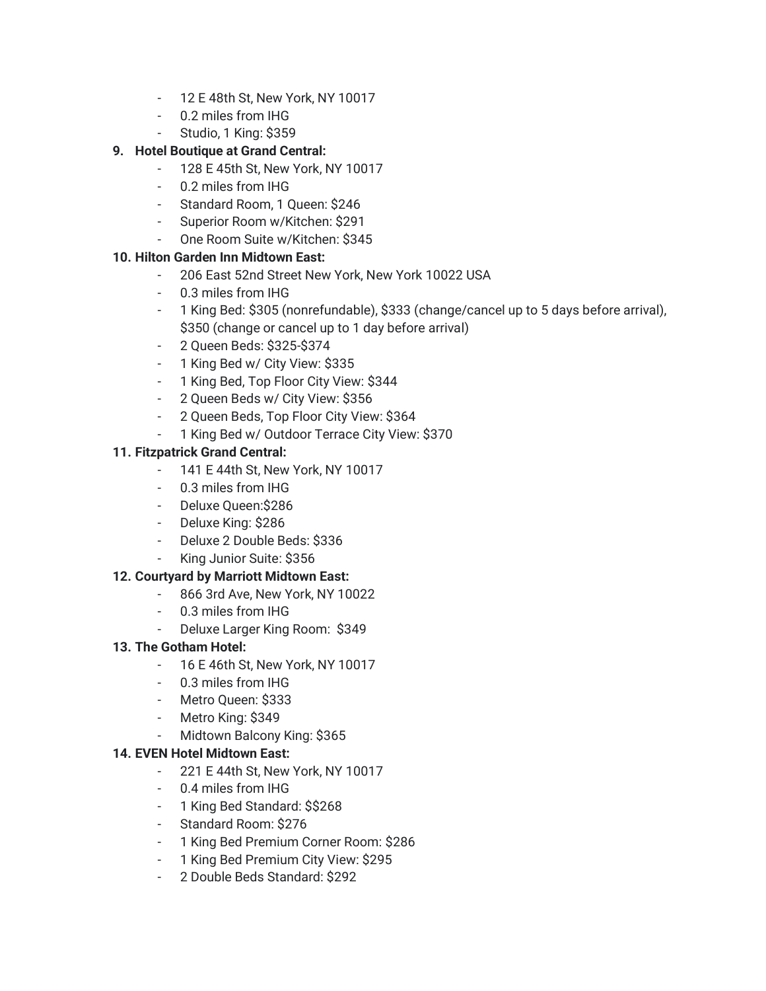- 12 E 48th St, New York, NY 10017
- 0.2 miles from IHG
- Studio, 1 King: \$359

# **9. Hotel Boutique at Grand Central:**

- 128 E 45th St, New York, NY 10017
- 0.2 miles from IHG
- Standard Room, 1 Queen: \$246
- Superior Room w/Kitchen: \$291
- One Room Suite w/Kitchen: \$345

# **10. Hilton Garden Inn Midtown East:**

- [206 East 52nd Street New York, New York 10022 USA](https://www.google.com/maps/search/?api=1&query=Hilton%20Garden%20Inn%20New%20York/Manhattan-Midtown%20East,%20New%20York,%20USA/)
- 0.3 miles from IHG
- 1 King Bed: \$305 (nonrefundable), \$333 (change/cancel up to 5 days before arrival), \$350 (change or cancel up to 1 day before arrival)
- 2 Queen Beds: \$325-\$374
- 1 King Bed w/ City View: \$335
- 1 King Bed, Top Floor City View: \$344
- 2 Queen Beds w/ City View: \$356
- 2 Queen Beds, Top Floor City View: \$364
- 1 King Bed w/ Outdoor Terrace City View: \$370

# **11. Fitzpatrick Grand Central:**

- 141 E 44th St, New York, NY 10017
- 0.3 miles from IHG
- Deluxe Queen:\$286
- Deluxe King: \$286
- Deluxe 2 Double Beds: \$336
- King Junior Suite: \$356

# **12. Courtyard by Marriott Midtown East:**

- 866 3rd Ave, New York, NY 10022
- 0.3 miles from IHG
- Deluxe Larger King Room: \$349

# **13. The Gotham Hotel:**

- 16 E 46th St, New York, NY 10017
- 0.3 miles from IHG
- Metro Queen: \$333
- Metro King: \$349
- Midtown Balcony King: \$365

# **14. EVEN Hotel Midtown East:**

- 221 E 44th St, New York, NY 10017
- 0.4 miles from IHG
- 1 King Bed Standard: \$\$268
- Standard Room: \$276
- 1 King Bed Premium Corner Room: \$286
- 1 King Bed Premium City View: \$295
- 2 Double Beds Standard: \$292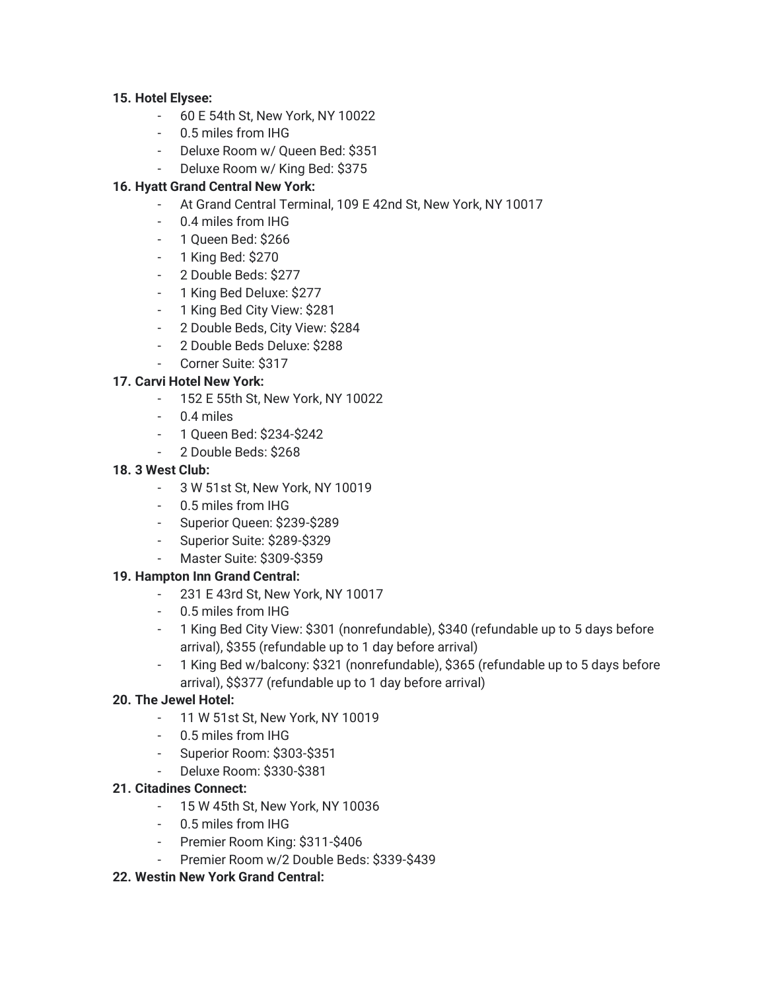# **15. Hotel Elysee:**

- 60 E 54th St, New York, NY 10022
- 0.5 miles from IHG
- Deluxe Room w/ Queen Bed: \$351
- Deluxe Room w/ King Bed: \$375

# **16. Hyatt Grand Central New York:**

- At Grand Central Terminal, 109 E 42nd St, New York, NY 10017
- 0.4 miles from IHG
- 1 Queen Bed: \$266
- 1 King Bed: \$270
- 2 Double Beds: \$277
- 1 King Bed Deluxe: \$277
- 1 King Bed City View: \$281
- 2 Double Beds, City View: \$284
- 2 Double Beds Deluxe: \$288
- Corner Suite: \$317

# **17. Carvi Hotel New York:**

- 152 E 55th St, New York, NY 10022
- 0.4 miles
- 1 Queen Bed: \$234-\$242
- 2 Double Beds: \$268

# **18. 3 West Club:**

- 3 W 51st St, New York, NY 10019
- 0.5 miles from IHG
- Superior Queen: \$239-\$289
- Superior Suite: \$289-\$329
- Master Suite: \$309-\$359

# **19. Hampton Inn Grand Central:**

- 231 E 43rd St, New York, NY 10017
- 0.5 miles from IHG
- 1 King Bed City View: \$301 (nonrefundable), \$340 (refundable up to 5 days before arrival), \$355 (refundable up to 1 day before arrival)
- 1 King Bed w/balcony: \$321 (nonrefundable), \$365 (refundable up to 5 days before arrival), \$\$377 (refundable up to 1 day before arrival)

# **20. The Jewel Hotel:**

- 11 W 51st St, New York, NY 10019
- 0.5 miles from IHG
- Superior Room: \$303-\$351
- Deluxe Room: \$330-\$381

# **21. Citadines Connect:**

- 15 W 45th St, New York, NY 10036
- 0.5 miles from IHG
- Premier Room King: \$311-\$406
- Premier Room w/2 Double Beds: \$339-\$439

# **22. Westin New York Grand Central:**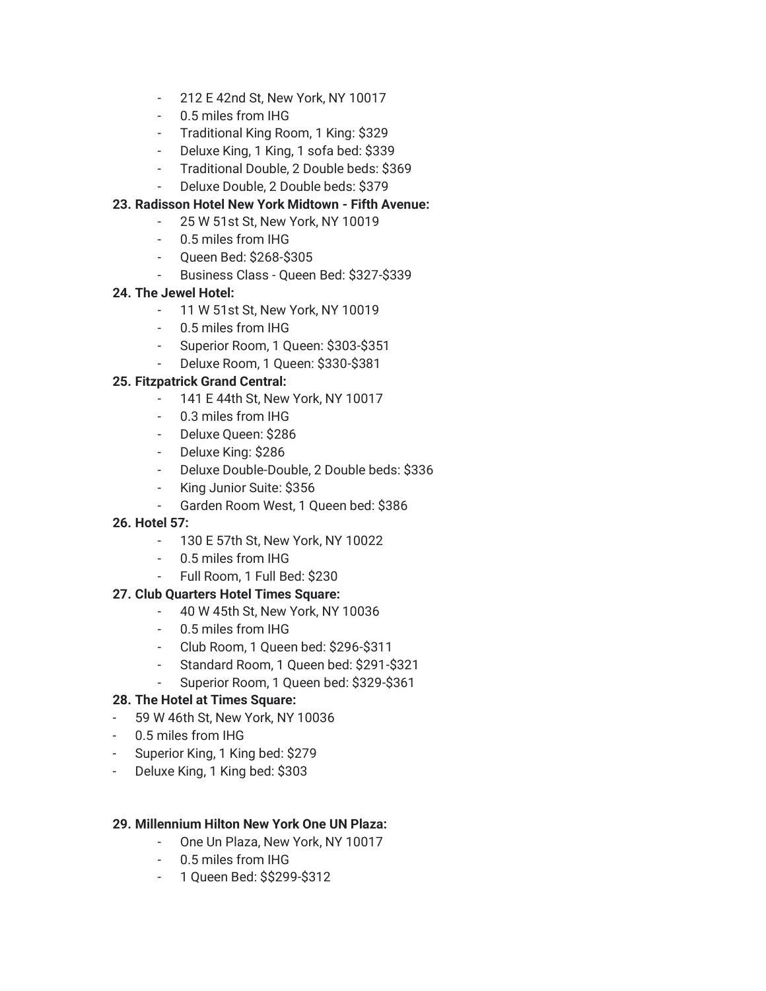- 212 E 42nd St, New York, NY 10017
- 0.5 miles from IHG
- Traditional King Room, 1 King: \$329
- Deluxe King, 1 King, 1 sofa bed: \$339
- Traditional Double, 2 Double beds: \$369
- Deluxe Double, 2 Double beds: \$379

#### **23. Radisson Hotel New York Midtown - Fifth Avenue:**

- 25 W 51st St, New York, NY 10019
- 0.5 miles from IHG
- Queen Bed: \$268-\$305
- Business Class Queen Bed: \$327-\$339

#### **24. The Jewel Hotel:**

- 11 W 51st St, New York, NY 10019
- 0.5 miles from IHG
- Superior Room, 1 Queen: \$303-\$351
- Deluxe Room, 1 Queen: \$330-\$381

#### **25. Fitzpatrick Grand Central:**

- 141 E 44th St, New York, NY 10017
- 0.3 miles from IHG
- Deluxe Queen: \$286
- Deluxe King: \$286
- Deluxe Double-Double, 2 Double beds: \$336
- King Junior Suite: \$356
- Garden Room West, 1 Queen bed: \$386

#### **26. Hotel 57:**

- 130 E 57th St, New York, NY 10022
- 0.5 miles from IHG
- Full Room, 1 Full Bed: \$230

# **27. Club Quarters Hotel Times Square:**

- 40 W 45th St, New York, NY 10036
- 0.5 miles from IHG
- Club Room, 1 Queen bed: \$296-\$311
- Standard Room, 1 Queen bed: \$291-\$321
- Superior Room, 1 Queen bed: \$329-\$361

# **28. The Hotel at Times Square:**

- 59 W 46th St, New York, NY 10036
- 0.5 miles from IHG
- Superior King, 1 King bed: \$279
- Deluxe King, 1 King bed: \$303

#### **29. Millennium Hilton New York One UN Plaza:**

- One Un Plaza, New York, NY 10017
- 0.5 miles from IHG
- 1 Queen Bed: \$\$299-\$312